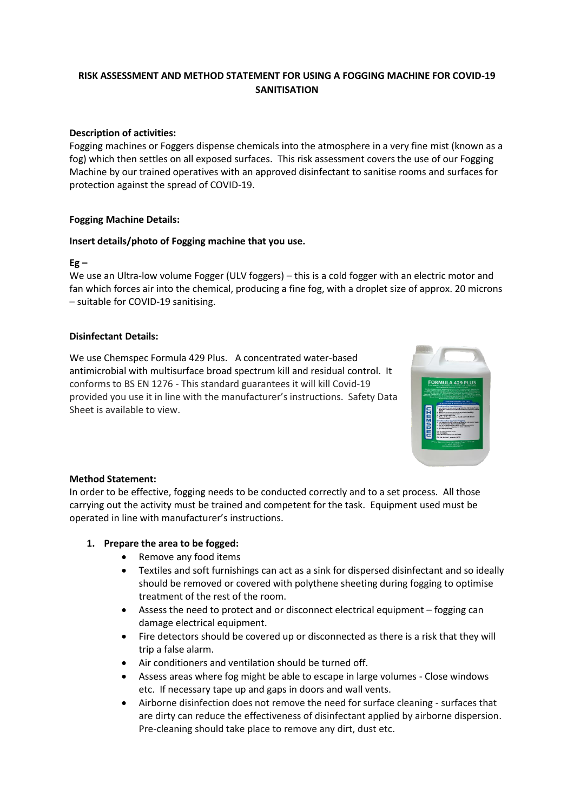# **RISK ASSESSMENT AND METHOD STATEMENT FOR USING A FOGGING MACHINE FOR COVID-19 SANITISATION**

#### **Description of activities:**

Fogging machines or Foggers dispense chemicals into the atmosphere in a very fine mist (known as a fog) which then settles on all exposed surfaces. This risk assessment covers the use of our Fogging Machine by our trained operatives with an approved disinfectant to sanitise rooms and surfaces for protection against the spread of COVID-19.

### **Fogging Machine Details:**

#### **Insert details/photo of Fogging machine that you use.**

### **Eg –**

We use an Ultra-low volume Fogger (ULV foggers) – this is a cold fogger with an electric motor and fan which forces air into the chemical, producing a fine fog, with a droplet size of approx. 20 microns – suitable for COVID-19 sanitising.

### **Disinfectant Details:**

We use Chemspec Formula 429 Plus. A concentrated water-based antimicrobial with multisurface broad spectrum kill and residual control. It conforms to BS EN 1276 - This standard guarantees it will kill Covid-19 provided you use it in line with the manufacturer's instructions. Safety Data Sheet is available to view.



## **Method Statement:**

In order to be effective, fogging needs to be conducted correctly and to a set process. All those carrying out the activity must be trained and competent for the task. Equipment used must be operated in line with manufacturer's instructions.

#### **1. Prepare the area to be fogged:**

- Remove any food items
- Textiles and soft furnishings can act as a sink for dispersed disinfectant and so ideally should be removed or covered with polythene sheeting during fogging to optimise treatment of the rest of the room.
- Assess the need to protect and or disconnect electrical equipment fogging can damage electrical equipment.
- Fire detectors should be covered up or disconnected as there is a risk that they will trip a false alarm.
- Air conditioners and ventilation should be turned off.
- Assess areas where fog might be able to escape in large volumes Close windows etc. If necessary tape up and gaps in doors and wall vents.
- Airborne disinfection does not remove the need for surface cleaning surfaces that are dirty can reduce the effectiveness of disinfectant applied by airborne dispersion. Pre-cleaning should take place to remove any dirt, dust etc.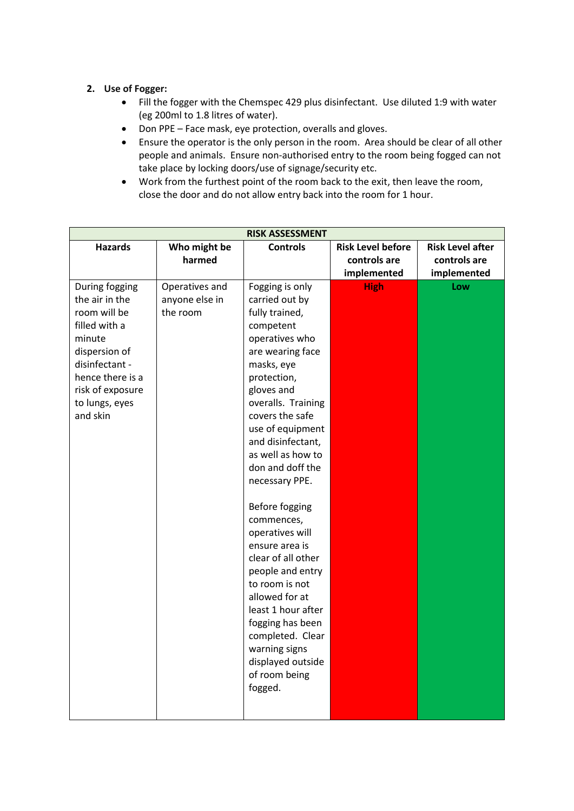# **2. Use of Fogger:**

- Fill the fogger with the Chemspec 429 plus disinfectant. Use diluted 1:9 with water (eg 200ml to 1.8 litres of water).
- Don PPE Face mask, eye protection, overalls and gloves.
- Ensure the operator is the only person in the room. Area should be clear of all other people and animals. Ensure non-authorised entry to the room being fogged can not take place by locking doors/use of signage/security etc.
- Work from the furthest point of the room back to the exit, then leave the room, close the door and do not allow entry back into the room for 1 hour.

| <b>RISK ASSESSMENT</b> |                |                    |                          |                         |  |  |  |
|------------------------|----------------|--------------------|--------------------------|-------------------------|--|--|--|
| <b>Hazards</b>         | Who might be   | <b>Controls</b>    | <b>Risk Level before</b> | <b>Risk Level after</b> |  |  |  |
|                        | harmed         |                    | controls are             | controls are            |  |  |  |
|                        |                |                    | implemented              | implemented             |  |  |  |
| During fogging         | Operatives and | Fogging is only    | <b>High</b>              | Low                     |  |  |  |
| the air in the         | anyone else in | carried out by     |                          |                         |  |  |  |
| room will be           | the room       | fully trained,     |                          |                         |  |  |  |
| filled with a          |                | competent          |                          |                         |  |  |  |
| minute                 |                | operatives who     |                          |                         |  |  |  |
| dispersion of          |                | are wearing face   |                          |                         |  |  |  |
| disinfectant -         |                | masks, eye         |                          |                         |  |  |  |
| hence there is a       |                | protection,        |                          |                         |  |  |  |
| risk of exposure       |                | gloves and         |                          |                         |  |  |  |
| to lungs, eyes         |                | overalls. Training |                          |                         |  |  |  |
| and skin               |                | covers the safe    |                          |                         |  |  |  |
|                        |                | use of equipment   |                          |                         |  |  |  |
|                        |                | and disinfectant,  |                          |                         |  |  |  |
|                        |                | as well as how to  |                          |                         |  |  |  |
|                        |                | don and doff the   |                          |                         |  |  |  |
|                        |                | necessary PPE.     |                          |                         |  |  |  |
|                        |                | Before fogging     |                          |                         |  |  |  |
|                        |                | commences,         |                          |                         |  |  |  |
|                        |                | operatives will    |                          |                         |  |  |  |
|                        |                | ensure area is     |                          |                         |  |  |  |
|                        |                | clear of all other |                          |                         |  |  |  |
|                        |                | people and entry   |                          |                         |  |  |  |
|                        |                | to room is not     |                          |                         |  |  |  |
|                        |                | allowed for at     |                          |                         |  |  |  |
|                        |                | least 1 hour after |                          |                         |  |  |  |
|                        |                | fogging has been   |                          |                         |  |  |  |
|                        |                | completed. Clear   |                          |                         |  |  |  |
|                        |                | warning signs      |                          |                         |  |  |  |
|                        |                | displayed outside  |                          |                         |  |  |  |
|                        |                | of room being      |                          |                         |  |  |  |
|                        |                | fogged.            |                          |                         |  |  |  |
|                        |                |                    |                          |                         |  |  |  |
|                        |                |                    |                          |                         |  |  |  |